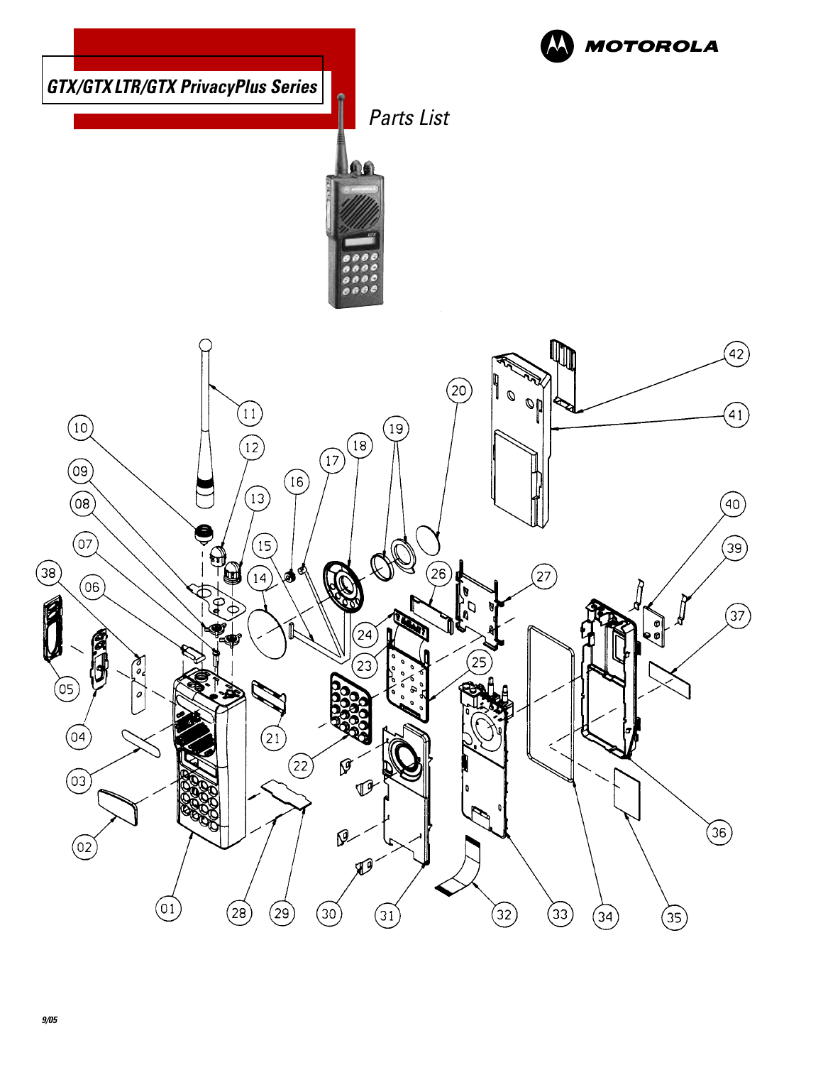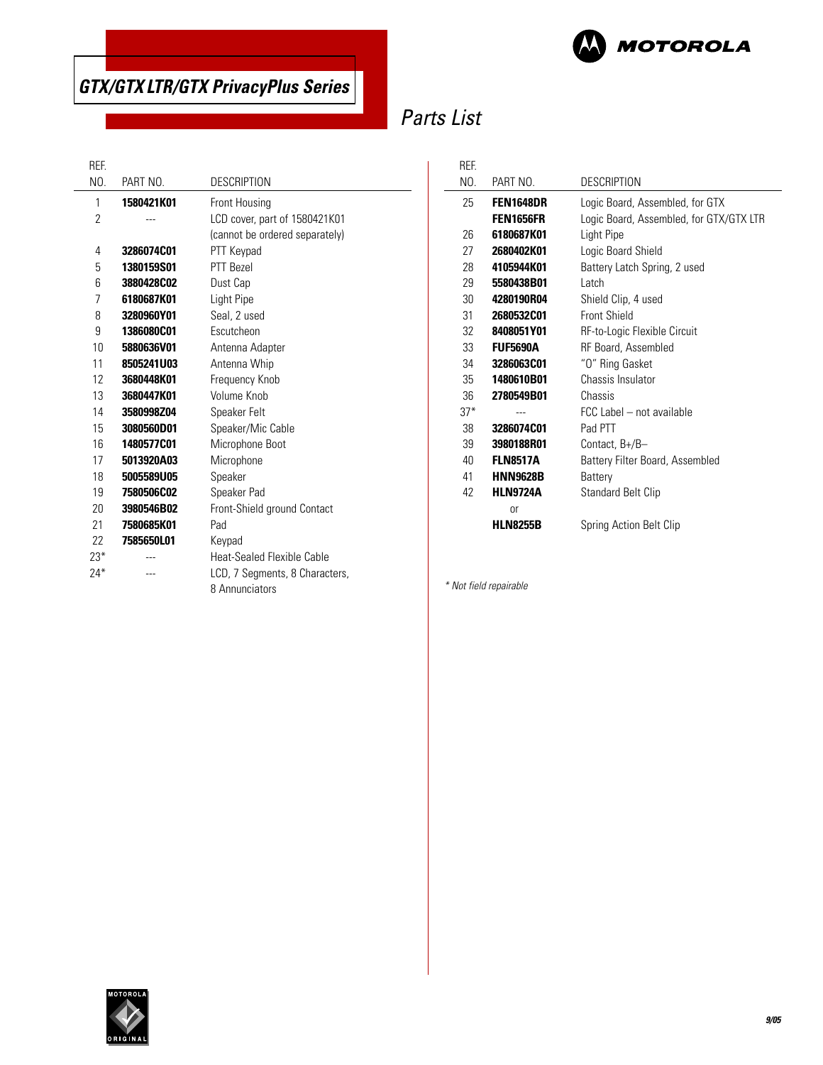



# Parts List

 $\overline{a}$ 

### REF.

 $\overline{\phantom{0}}$ 

| NO.   | PART NO.   | <b>DESCRIPTION</b>             |
|-------|------------|--------------------------------|
| 1     | 1580421K01 | Front Housing                  |
| 2     |            | LCD cover, part of 1580421K01  |
|       |            | (cannot be ordered separately) |
| 4     | 3286074C01 | PTT Keypad                     |
| 5     | 1380159S01 | PTT Rezel                      |
| 6     | 3880428C02 | Dust Cap                       |
| 7     | 6180687K01 | Light Pipe                     |
| 8     | 3280960Y01 | Seal, 2 used                   |
| 9     | 1386080C01 | Escutcheon                     |
| 10    | 5880636V01 | Antenna Adapter                |
| 11    | 8505241U03 | Antenna Whip                   |
| 12    | 3680448K01 | Frequency Knob                 |
| 13    | 3680447K01 | Volume Knob                    |
| 14    | 3580998Z04 | Speaker Felt                   |
| 15    | 3080560D01 | Speaker/Mic Cable              |
| 16    | 1480577C01 | Microphone Boot                |
| 17    | 5013920A03 | Microphone                     |
| 18    | 5005589U05 | Speaker                        |
| 19    | 7580506C02 | Speaker Pad                    |
| 20    | 3980546B02 | Front-Shield ground Contact    |
| 21    | 7580685K01 | Pad                            |
| 22    | 7585650L01 | Keypad                         |
| $23*$ |            | Heat-Sealed Flexible Cable     |
| $24*$ |            | LCD, 7 Segments, 8 Characters, |
|       |            | 8 Annunciators                 |

| REF.  |                  |                                         |
|-------|------------------|-----------------------------------------|
| NO.   | PART NO.         | <b>DESCRIPTION</b>                      |
| 25    | FEN1648DR        | Logic Board, Assembled, for GTX         |
|       | <b>FEN1656FR</b> | Logic Board, Assembled, for GTX/GTX LTR |
| 26    | 6180687K01       | Light Pipe                              |
| 27    | 2680402K01       | Logic Board Shield                      |
| 28    | 4105944K01       | Battery Latch Spring, 2 used            |
| 29    | 5580438B01       | I atch                                  |
| 30    | 4280190R04       | Shield Clip, 4 used                     |
| 31    | 2680532C01       | Front Shield                            |
| 32    | 8408051Y01       | RF-to-Logic Flexible Circuit            |
| 33    | <b>FUF5690A</b>  | RF Board, Assembled                     |
| 34    | 3286063C01       | "O" Ring Gasket                         |
| 35    | 1480610B01       | Chassis Insulator                       |
| 36    | 2780549B01       | Chassis                                 |
| $37*$ |                  | FCC Label - not available               |
| 38    | 3286074C01       | Pad PTT                                 |
| 39    | 3980188R01       | Contact, B+/B-                          |
| 40    | <b>FLN8517A</b>  | Battery Filter Board, Assembled         |
| 41    | <b>HNN9628B</b>  | Battery                                 |
| 42    | <b>HLN9724A</b>  | <b>Standard Belt Clip</b>               |
|       | 0r               |                                         |
|       | <b>HLN8255B</b>  | Spring Action Belt Clip                 |

\* Not field repairable

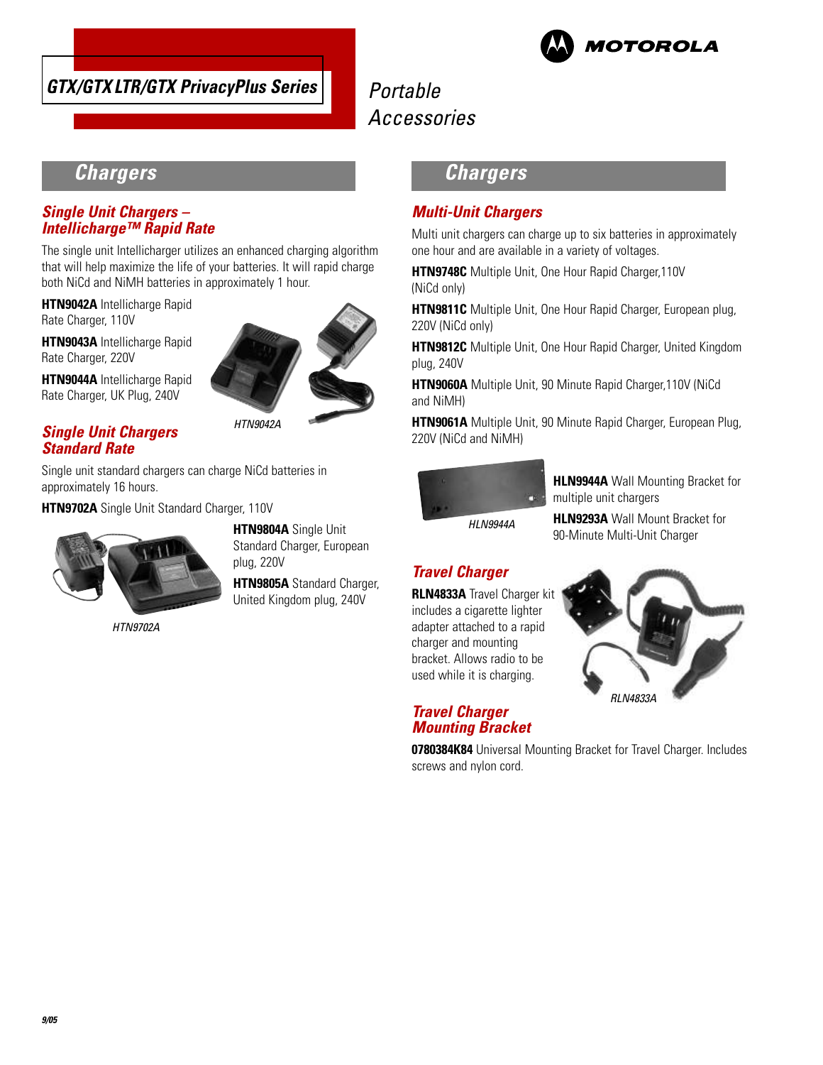



# **Chargers**

### **Single Unit Chargers – Intellicharge™ Rapid Rate**

The single unit Intellicharger utilizes an enhanced charging algorithm that will help maximize the life of your batteries. It will rapid charge both NiCd and NiMH batteries in approximately 1 hour.

**HTN9042A** Intellicharge Rapid Rate Charger, 110V

**HTN9043A** Intellicharge Rapid Rate Charger, 220V

**HTN9044A** Intellicharge Rapid Rate Charger, UK Plug, 240V



### **Single Unit Chargers Standard Rate**

Single unit standard chargers can charge NiCd batteries in approximately 16 hours.

**HTN9702A** Single Unit Standard Charger, 110V



HTN9702A

**HTN9804A** Single Unit Standard Charger, European plug, 220V

**HTN9805A** Standard Charger, United Kingdom plug, 240V

# **Chargers**

### **Multi-Unit Chargers**

Multi unit chargers can charge up to six batteries in approximately one hour and are available in a variety of voltages.

**HTN9748C** Multiple Unit, One Hour Rapid Charger,110V (NiCd only)

**HTN9811C** Multiple Unit, One Hour Rapid Charger, European plug, 220V (NiCd only)

**HTN9812C** Multiple Unit, One Hour Rapid Charger, United Kingdom plug, 240V

**HTN9060A** Multiple Unit, 90 Minute Rapid Charger,110V (NiCd and NiMH)

**HTN9061A** Multiple Unit, 90 Minute Rapid Charger, European Plug, 220V (NiCd and NiMH)



**HLN9944A** Wall Mounting Bracket for multiple unit chargers

HLN9944A

**HLN9293A** Wall Mount Bracket for 90-Minute Multi-Unit Charger

## **Travel Charger**

**RLN4833A** Travel Charger kit includes a cigarette lighter adapter attached to a rapid charger and mounting bracket. Allows radio to be used while it is charging.

**Travel Charger Mounting Bracket**



**0780384K84** Universal Mounting Bracket for Travel Charger. Includes screws and nylon cord.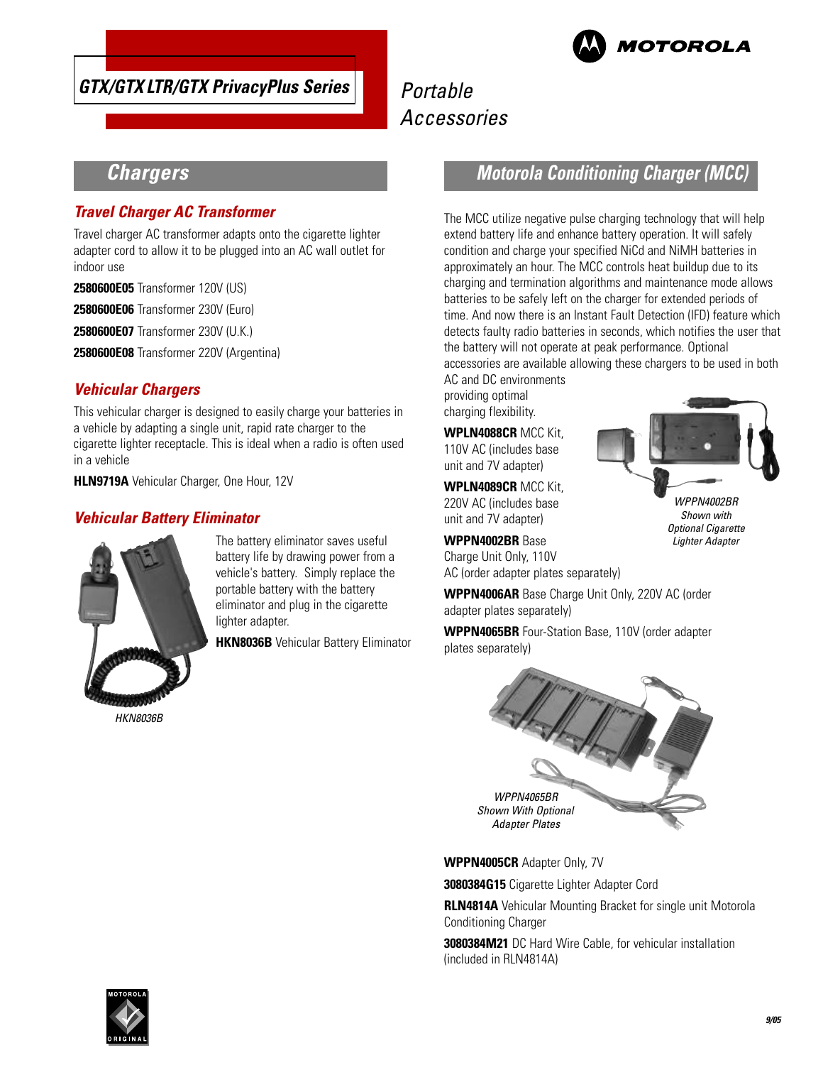



WPPN4002BR Shown with Optional Cigarette Lighter Adapter

# **Chargers**

### **Travel Charger AC Transformer**

Travel charger AC transformer adapts onto the cigarette lighter adapter cord to allow it to be plugged into an AC wall outlet for indoor use

**2580600E05** Transformer 120V (US)

**2580600E06** Transformer 230V (Euro)

**2580600E07** Transformer 230V (U.K.)

**2580600E08** Transformer 220V (Argentina)

### **Vehicular Chargers**

This vehicular charger is designed to easily charge your batteries in a vehicle by adapting a single unit, rapid rate charger to the cigarette lighter receptacle. This is ideal when a radio is often used in a vehicle

**HLN9719A** Vehicular Charger, One Hour, 12V

### **Vehicular Battery Eliminator**



The battery eliminator saves useful battery life by drawing power from a vehicle's battery. Simply replace the portable battery with the battery eliminator and plug in the cigarette lighter adapter.

**HKN8036B** Vehicular Battery Eliminator

## **Motorola Conditioning Charger (MCC)**

The MCC utilize negative pulse charging technology that will help extend battery life and enhance battery operation. It will safely condition and charge your specified NiCd and NiMH batteries in approximately an hour. The MCC controls heat buildup due to its charging and termination algorithms and maintenance mode allows batteries to be safely left on the charger for extended periods of time. And now there is an Instant Fault Detection (IFD) feature which detects faulty radio batteries in seconds, which notifies the user that the battery will not operate at peak performance. Optional accessories are available allowing these chargers to be used in both

AC and DC environments providing optimal charging flexibility.

**WPLN4088CR** MCC Kit, 110V AC (includes base unit and 7V adapter)

**WPLN4089CR** MCC Kit, 220V AC (includes base unit and 7V adapter)

**WPPN4002BR** Base Charge Unit Only, 110V AC (order adapter plates separately)

**WPPN4006AR** Base Charge Unit Only, 220V AC (order adapter plates separately)

**WPPN4065BR** Four-Station Base, 110V (order adapter plates separately)



**WPPN4005CR** Adapter Only, 7V

**3080384G15** Cigarette Lighter Adapter Cord

**RLN4814A** Vehicular Mounting Bracket for single unit Motorola Conditioning Charger

**3080384M21** DC Hard Wire Cable, for vehicular installation (included in RLN4814A)

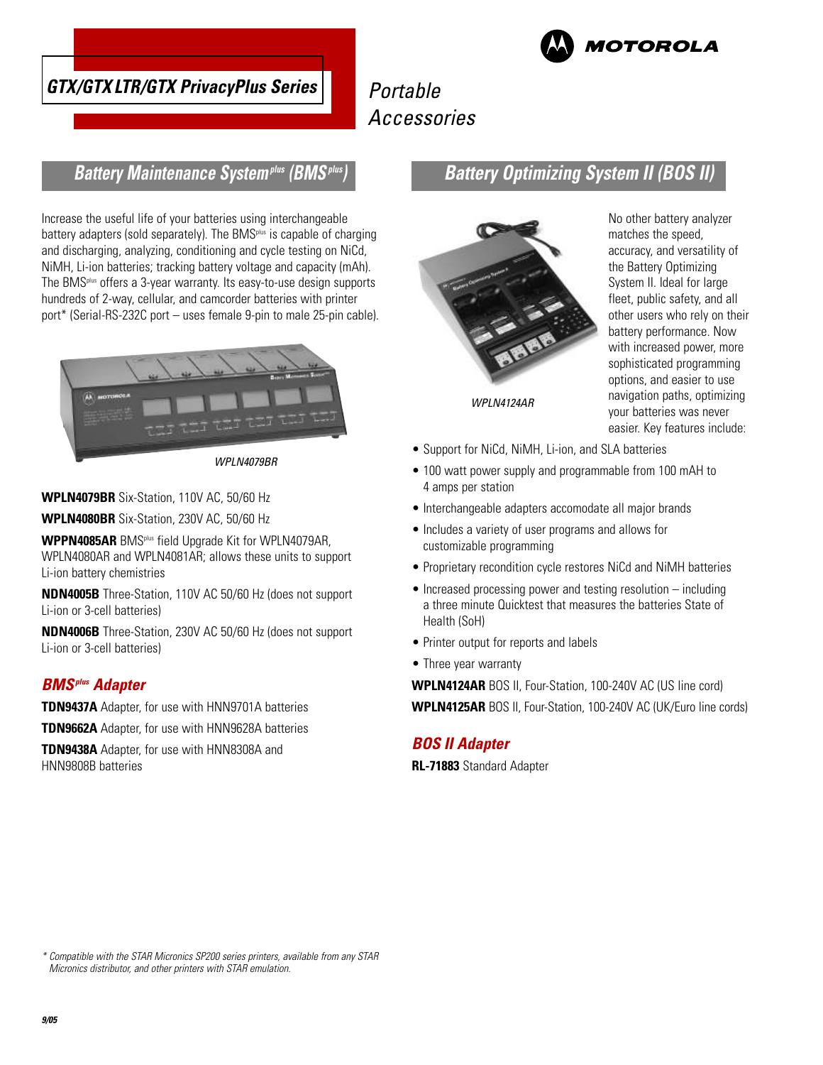

**MOTOROLA** 

# **Battery Maintenance Systemplus (BMSplus)**

Increase the useful life of your batteries using interchangeable battery adapters (sold separately). The BMS<sup>plus</sup> is capable of charging and discharging, analyzing, conditioning and cycle testing on NiCd, NiMH, Li-ion batteries; tracking battery voltage and capacity (mAh). The BMSplus offers a 3-year warranty. Its easy-to-use design supports hundreds of 2-way, cellular, and camcorder batteries with printer port\* (Serial-RS-232C port – uses female 9-pin to male 25-pin cable).



WPLN4079BR

**WPLN4079BR** Six-Station, 110V AC, 50/60 Hz

**WPLN4080BR** Six-Station, 230V AC, 50/60 Hz

**WPPN4085AR** BMSplus field Upgrade Kit for WPLN4079AR, WPLN4080AR and WPLN4081AR; allows these units to support Li-ion battery chemistries

**NDN4005B** Three-Station, 110V AC 50/60 Hz (does not support Li-ion or 3-cell batteries)

**NDN4006B** Three-Station, 230V AC 50/60 Hz (does not support Li-ion or 3-cell batteries)

### **BMSplus Adapter**

**TDN9437A** Adapter, for use with HNN9701A batteries

**TDN9662A** Adapter, for use with HNN9628A batteries

**TDN9438A** Adapter, for use with HNN8308A and HNN9808B batteries

**Battery Optimizing System II (BOS II)**



No other battery analyzer matches the speed, accuracy, and versatility of the Battery Optimizing System II. Ideal for large fleet, public safety, and all other users who rely on their battery performance. Now with increased power, more sophisticated programming options, and easier to use navigation paths, optimizing your batteries was never easier. Key features include:

- Support for NiCd, NiMH, Li-ion, and SLA batteries
- 100 watt power supply and programmable from 100 mAH to 4 amps per station
- Interchangeable adapters accomodate all major brands
- Includes a variety of user programs and allows for customizable programming
- Proprietary recondition cycle restores NiCd and NiMH batteries
- Increased processing power and testing resolution including a three minute Quicktest that measures the batteries State of Health (SoH)
- Printer output for reports and labels
- Three year warranty

**WPLN4124AR** BOS II, Four-Station, 100-240V AC (US line cord) **WPLN4125AR** BOS II, Four-Station, 100-240V AC (UK/Euro line cords)

### **BOS II Adapter**

**RL-71883** Standard Adapter

\* Compatible with the STAR Micronics SP200 series printers, available from any STAR Micronics distributor, and other printers with STAR emulation.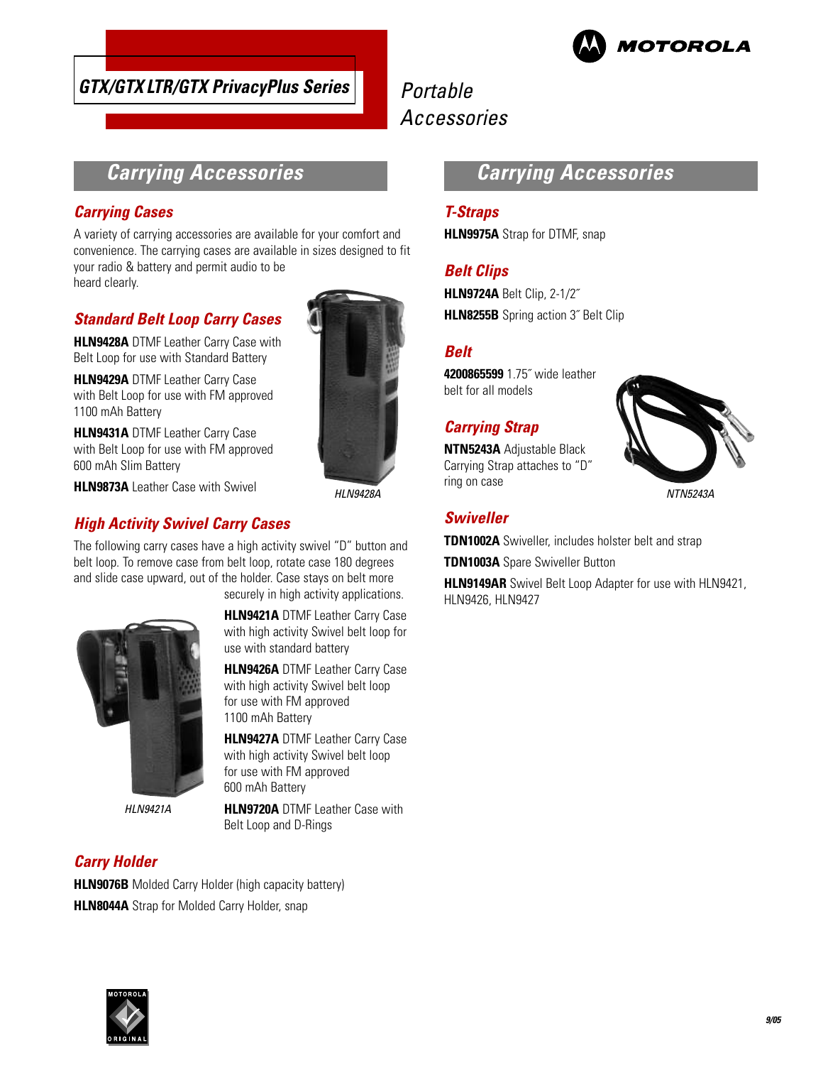

## **GTX/GTX LTR/GTX PrivacyPlus Series**

# Portable Accessories

# **Carrying Accessories**

### **Carrying Cases**

A variety of carrying accessories are available for your comfort and convenience. The carrying cases are available in sizes designed to fit your radio & battery and permit audio to be heard clearly.

### **Standard Belt Loop Carry Cases**

**HLN9428A** DTMF Leather Carry Case with Belt Loop for use with Standard Battery

**HLN9429A** DTMF Leather Carry Case with Belt Loop for use with FM approved 1100 mAh Battery

**HLN9431A** DTMF Leather Carry Case with Belt Loop for use with FM approved 600 mAh Slim Battery



### **High Activity Swivel Carry Cases**

The following carry cases have a high activity swivel "D" button and belt loop. To remove case from belt loop, rotate case 180 degrees and slide case upward, out of the holder. Case stays on belt more securely in high activity applications.



HLN9421A

### **Carry Holder**

**HLN9076B** Molded Carry Holder (high capacity battery) **HLN8044A** Strap for Molded Carry Holder, snap





**HLN9421A** DTMF Leather Carry Case with high activity Swivel belt loop for

**HLN9426A** DTMF Leather Carry Case with high activity Swivel belt loop

**HLN9427A** DTMF Leather Carry Case with high activity Swivel belt loop for use with FM approved

**HLN9720A** DTMF Leather Case with

use with standard battery

for use with FM approved 1100 mAh Battery

600 mAh Battery

Belt Loop and D-Rings

# **Carrying Accessories**

### **T-Straps**

**HLN9975A** Strap for DTMF, snap

### **Belt Clips**

**HLN9724A** Belt Clip, 2-1/2˝ **HLN8255B** Spring action 3˝ Belt Clip

### **Belt**

**4200865599** 1.75˝ wide leather belt for all models

### **Carrying Strap**

**NTN5243A** Adjustable Black Carrying Strap attaches to "D" ring on case



### **Swiveller**

**TDN1002A** Swiveller, includes holster belt and strap

**TDN1003A** Spare Swiveller Button

**HLN9149AR** Swivel Belt Loop Adapter for use with HLN9421, HLN9426, HLN9427

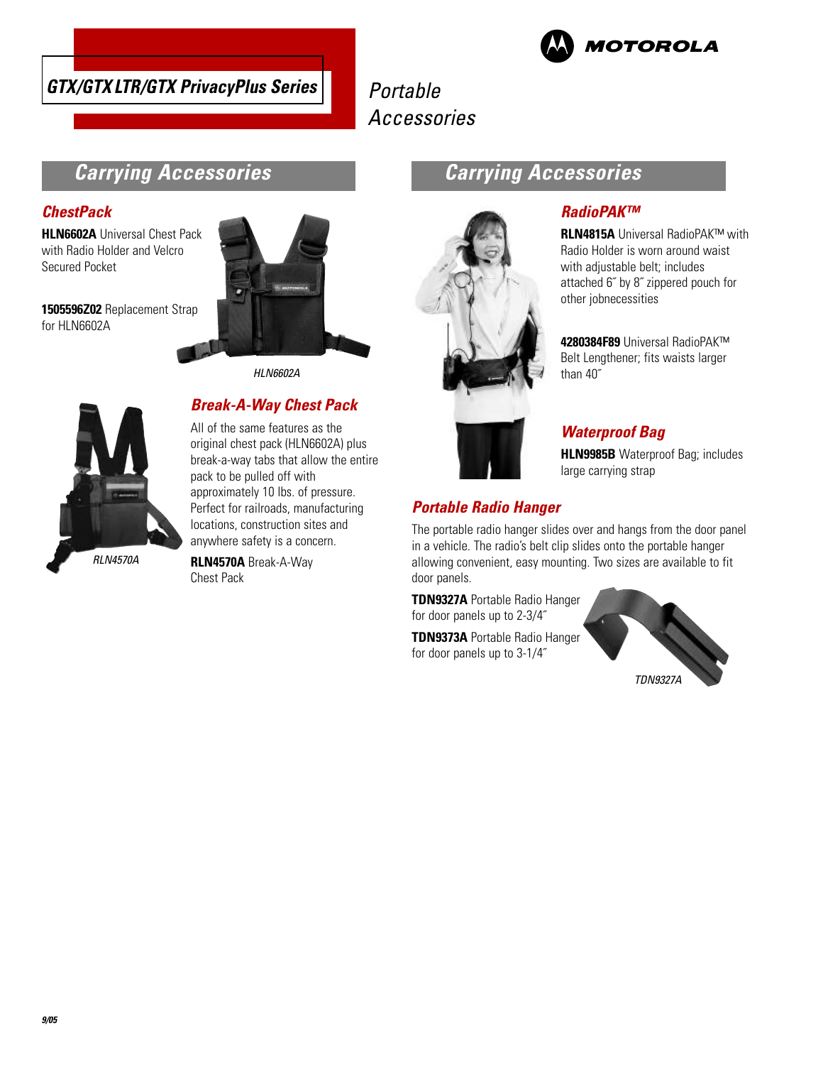



# **Carrying Accessories**

### **ChestPack**

**HLN6602A** Universal Chest Pack with Radio Holder and Velcro Secured Pocket

**1505596Z02** Replacement Strap for HLN6602A



HLN6602A



### **Break-A-Way Chest Pack**

All of the same features as the original chest pack (HLN6602A) plus break-a-way tabs that allow the entire pack to be pulled off with approximately 10 lbs. of pressure. Perfect for railroads, manufacturing locations, construction sites and anywhere safety is a concern.

**RLN4570A** Break-A-Way Chest Pack



# **Carrying Accessories**

### **RadioPAK™**

**RLN4815A** Universal RadioPAK™ with Radio Holder is worn around waist with adjustable belt; includes attached 6˝ by 8˝ zippered pouch for other jobnecessities

**4280384F89** Universal RadioPAK™ Belt Lengthener; fits waists larger than 40˝

### **Waterproof Bag**

**HLN9985B** Waterproof Bag; includes large carrying strap

### **Portable Radio Hanger**

The portable radio hanger slides over and hangs from the door panel in a vehicle. The radio's belt clip slides onto the portable hanger allowing convenient, easy mounting. Two sizes are available to fit door panels.

**TDN9327A** Portable Radio Hanger for door panels up to 2-3/4˝

**TDN9373A** Portable Radio Hanger for door panels up to 3-1/4˝

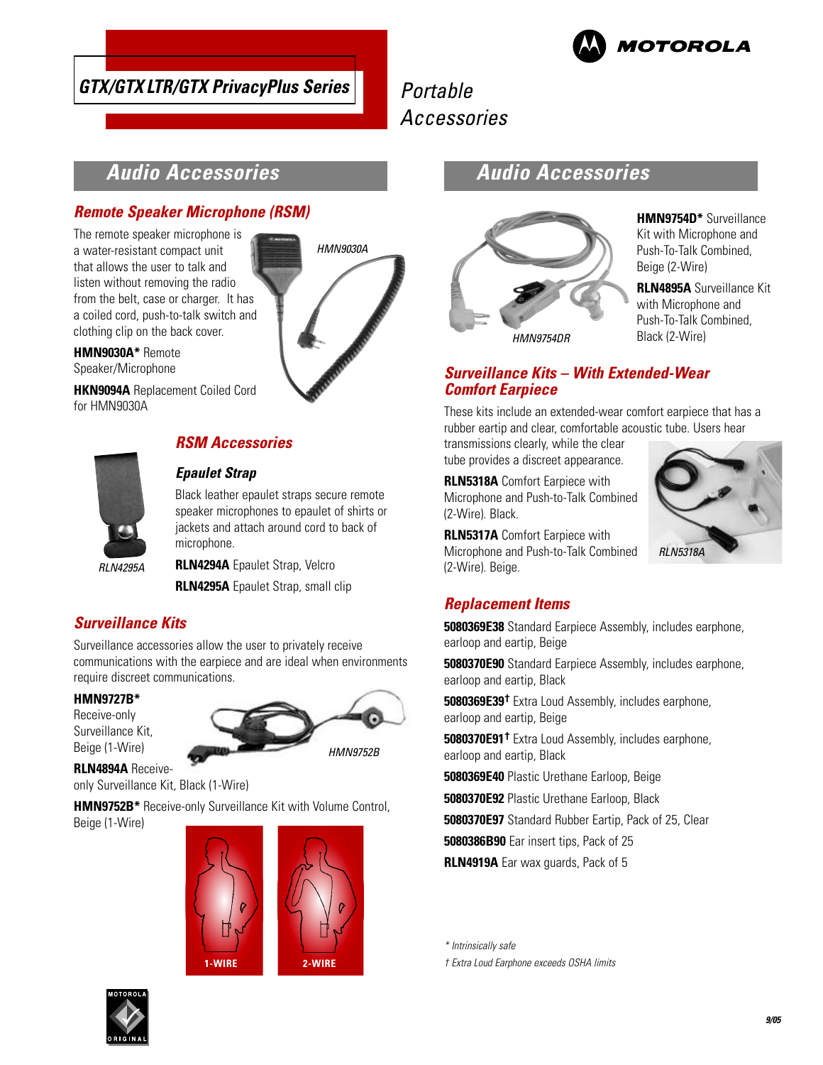

# **GTX/GTX LTR/GTX PrivacyPlus Series**

Portable Accessories

# **Audio Accessories**

### **Remote Speaker Microphone (RSM)**

The remote speaker microphone is a water-resistant compact unit that allows the user to talk and listen without removing the radio from the belt, case or charger. It has a coiled cord, push-to-talk switch and clothing clip on the back cover.

**HMN9030A\*** Remote Speaker/Microphone

**HKN9094A** Replacement Coiled Cord for HMN9030A



### **RSM Accessories**

### **Epaulet Strap**

Black leather epaulet straps secure remote speaker microphones to epaulet of shirts or jackets and attach around cord to back of microphone.

HMN9030A

**RLN4294A** Epaulet Strap, Velcro **RLN4295A** Epaulet Strap, small clip

### **Surveillance Kits**

Surveillance accessories allow the user to privately receive communications with the earpiece and are ideal when environments require discreet communications.

### **HMN9727B\***

Receive-only Surveillance Kit, Beige (1-Wire)



**RLN4894A** Receiveonly Surveillance Kit, Black (1-Wire)

**HMN9752B\*** Receive-only Surveillance Kit with Volume Control, Beige (1-Wire)



# **Audio Accessories**



**HMN9754D\*** Surveillance Kit with Microphone and Push-To-Talk Combined, Beige (2-Wire)

**RLN4895A** Surveillance Kit with Microphone and Push-To-Talk Combined, Black (2-Wire)

**RLN5318A** 

### **Surveillance Kits – With Extended-Wear Comfort Earpiece**

These kits include an extended-wear comfort earpiece that has a rubber eartip and clear, comfortable acoustic tube. Users hear

transmissions clearly, while the clear tube provides a discreet appearance.

**RLN5318A** Comfort Earpiece with Microphone and Push-to-Talk Combined (2-Wire). Black.

**RLN5317A** Comfort Earpiece with Microphone and Push-to-Talk Combined (2-Wire). Beige.

### **Replacement Items**

**5080369E38** Standard Earpiece Assembly, includes earphone, earloop and eartip, Beige

**5080370E90** Standard Earpiece Assembly, includes earphone, earloop and eartip, Black

**5080369E39†** Extra Loud Assembly, includes earphone, earloop and eartip, Beige

**5080370E91†** Extra Loud Assembly, includes earphone, earloop and eartip, Black

**5080369E40** Plastic Urethane Earloop, Beige

**5080370E92** Plastic Urethane Earloop, Black

**5080370E97** Standard Rubber Eartip, Pack of 25, Clear

**5080386B90** Ear insert tips, Pack of 25

**RLN4919A** Ear wax guards, Pack of 5

\* Intrinsically safe

† Extra Loud Earphone exceeds OSHA limits

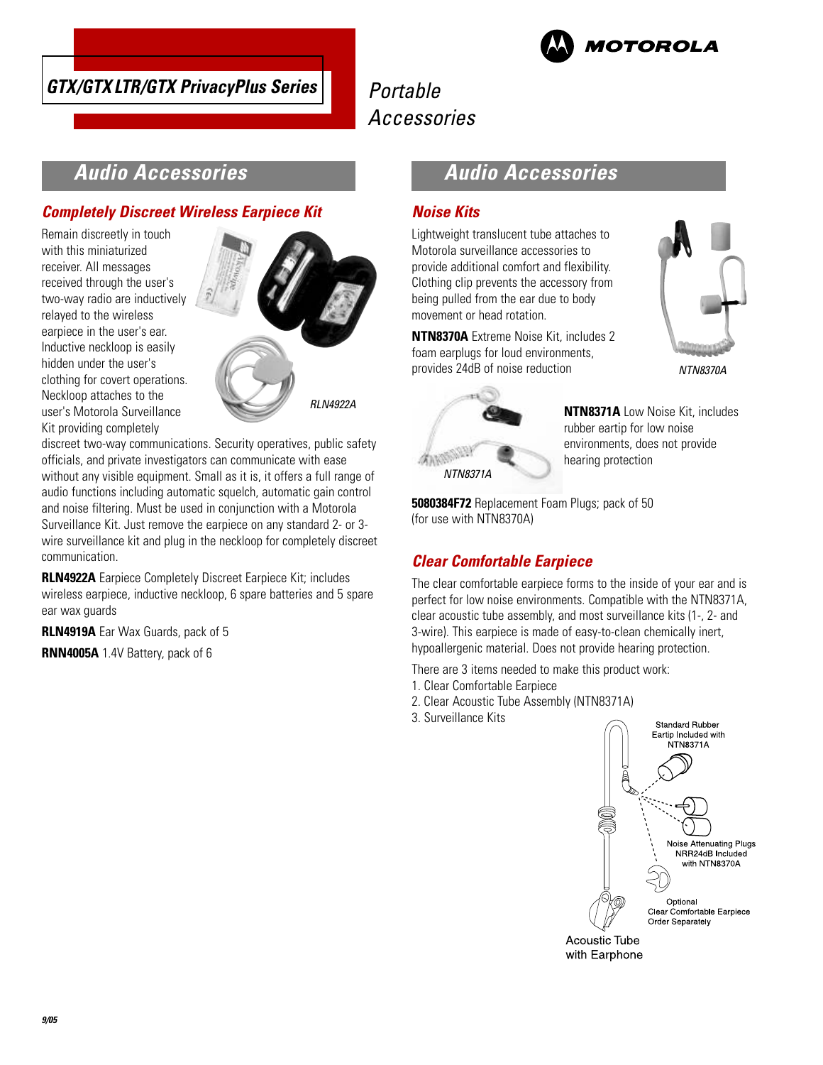



# **Audio Accessories**

### **Completely Discreet Wireless Earpiece Kit**

Remain discreetly in touch with this miniaturized receiver. All messages received through the user's two-way radio are inductively relayed to the wireless earpiece in the user's ear. Inductive neckloop is easily hidden under the user's clothing for covert operations. Neckloop attaches to the user's Motorola Surveillance Kit providing completely



discreet two-way communications. Security operatives, public safety officials, and private investigators can communicate with ease without any visible equipment. Small as it is, it offers a full range of audio functions including automatic squelch, automatic gain control and noise filtering. Must be used in conjunction with a Motorola Surveillance Kit. Just remove the earpiece on any standard 2- or 3 wire surveillance kit and plug in the neckloop for completely discreet communication.

**RLN4922A** Earpiece Completely Discreet Earpiece Kit; includes wireless earpiece, inductive neckloop, 6 spare batteries and 5 spare ear wax guards

**RLN4919A** Ear Wax Guards, pack of 5

**RNN4005A** 1.4V Battery, pack of 6

# **Audio Accessories**

### **Noise Kits**

Lightweight translucent tube attaches to Motorola surveillance accessories to provide additional comfort and flexibility. Clothing clip prevents the accessory from being pulled from the ear due to body movement or head rotation.

**NTN8370A** Extreme Noise Kit, includes 2 foam earplugs for loud environments, provides 24dB of noise reduction



NTN8371A

**NTN8371A** Low Noise Kit, includes rubber eartip for low noise environments, does not provide hearing protection

**5080384F72** Replacement Foam Plugs; pack of 50 (for use with NTN8370A)

## **Clear Comfortable Earpiece**

The clear comfortable earpiece forms to the inside of your ear and is perfect for low noise environments. Compatible with the NTN8371A, clear acoustic tube assembly, and most surveillance kits (1-, 2- and 3-wire). This earpiece is made of easy-to-clean chemically inert, hypoallergenic material. Does not provide hearing protection.

There are 3 items needed to make this product work:

- 1. Clear Comfortable Earpiece
- 2. Clear Acoustic Tube Assembly (NTN8371A)
- 3. Surveillance Kits



Acoustic Tube with Earphone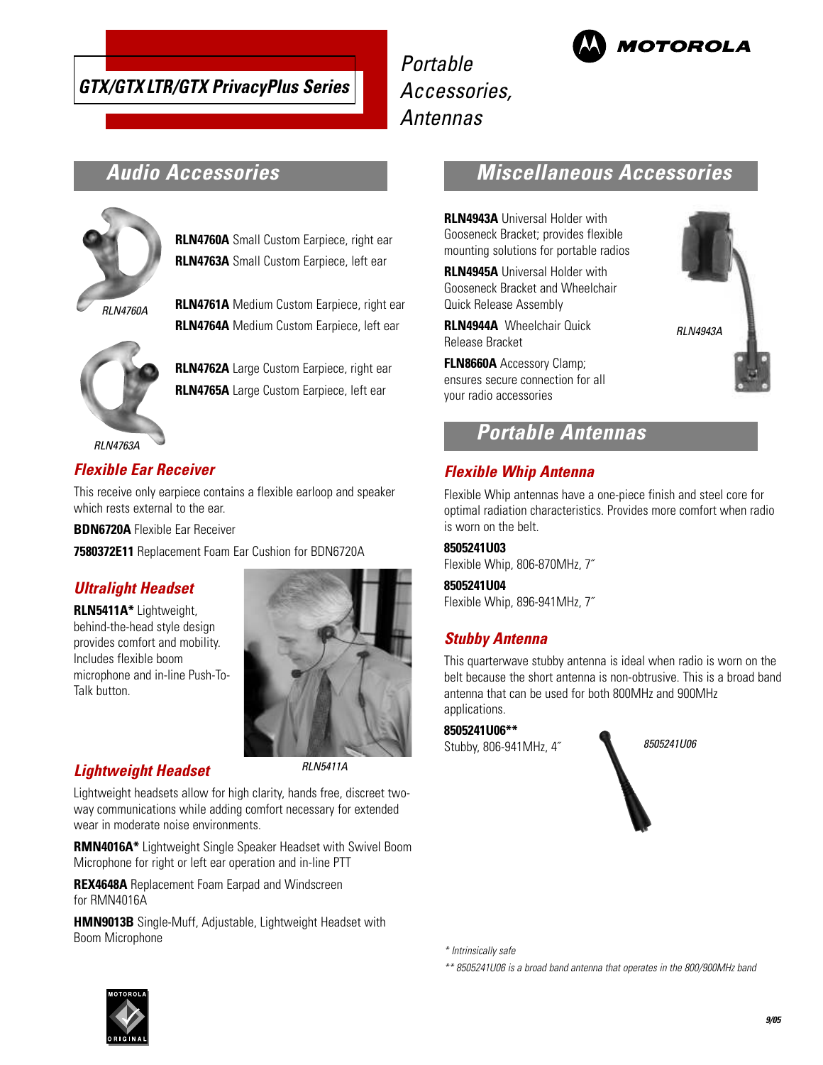

Portable Accessories, Antennas



# **Audio Accessories**



**RLN4760A** Small Custom Earpiece, right ear **RLN4763A** Small Custom Earpiece, left ear

**RLN4761A** Medium Custom Earpiece, right ear **RLN4764A** Medium Custom Earpiece, left ear

**RI N4760A** 



**RLN4762A** Large Custom Earpiece, right ear

**RLN4765A** Large Custom Earpiece, left ear

### **Flexible Ear Receiver**

This receive only earpiece contains a flexible earloop and speaker which rests external to the ear.

**BDN6720A** Flexible Ear Receiver

**7580372E11** Replacement Foam Ear Cushion for BDN6720A

### **Ultralight Headset**

**RLN5411A\*** Lightweight, behind-the-head style design provides comfort and mobility. Includes flexible boom microphone and in-line Push-To-Talk button.

### **Lightweight Headset**

RLN5411A

Lightweight headsets allow for high clarity, hands free, discreet twoway communications while adding comfort necessary for extended wear in moderate noise environments.

**RMN4016A\*** Lightweight Single Speaker Headset with Swivel Boom Microphone for right or left ear operation and in-line PTT

**REX4648A** Replacement Foam Earpad and Windscreen for RMN4016A

**HMN9013B** Single-Muff, Adjustable, Lightweight Headset with Boom Microphone

# **Miscellaneous Accessories**

**RLN4943A** Universal Holder with Gooseneck Bracket; provides flexible mounting solutions for portable radios

**RLN4945A** Universal Holder with Gooseneck Bracket and Wheelchair Quick Release Assembly

**RLN4944A** Wheelchair Quick Release Bracket

**FLN8660A** Accessory Clamp; ensures secure connection for all your radio accessories

# **Portable Antennas**

### **Flexible Whip Antenna**

Flexible Whip antennas have a one-piece finish and steel core for optimal radiation characteristics. Provides more comfort when radio is worn on the belt.

### **8505241U03**

Flexible Whip, 806-870MHz, 7˝

### **8505241U04**

Flexible Whip, 896-941MHz, 7˝

### **Stubby Antenna**

This quarterwave stubby antenna is ideal when radio is worn on the belt because the short antenna is non-obtrusive. This is a broad band antenna that can be used for both 800MHz and 900MHz applications.

**8505241U06\*\*** Stubby, 806-941MHz, 4˝



\* Intrinsically safe

\*\* 8505241U06 is a broad band antenna that operates in the 800/900MHz band



# RLN4943A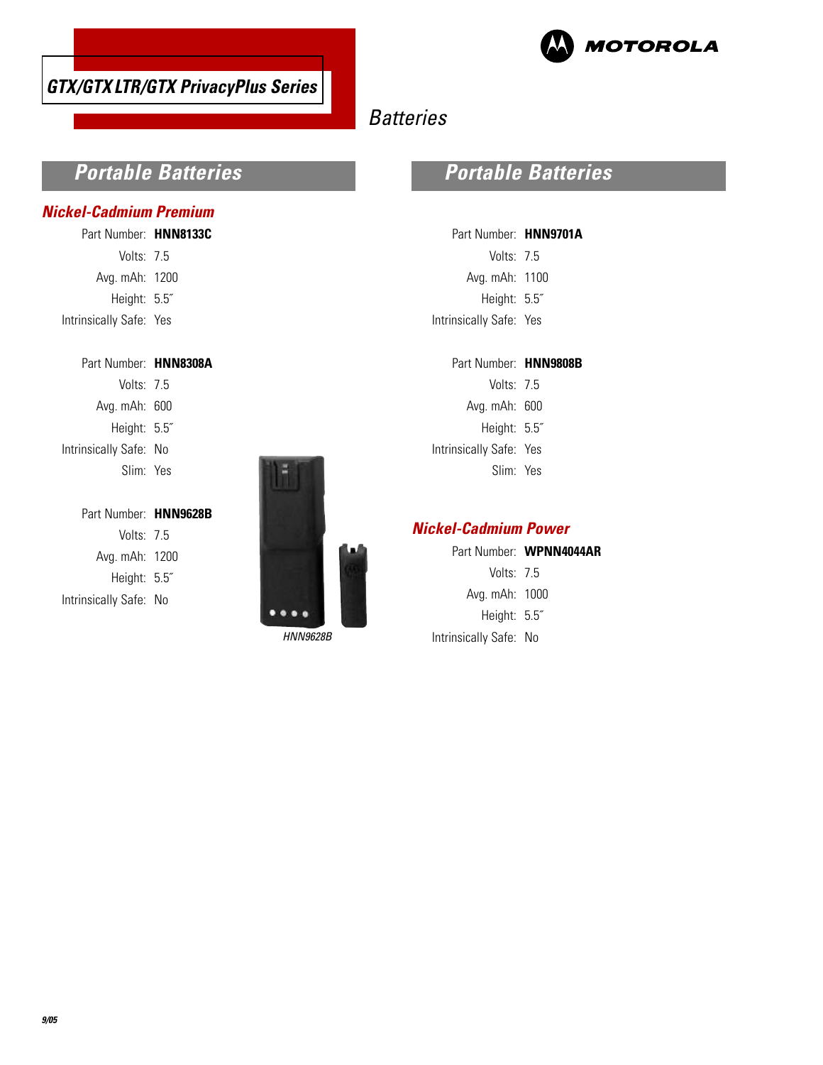



# **Batteries**

# **Portable Batteries**

### **Nickel-Cadmium Premium**

| Part Number: HNN8133C   |  |
|-------------------------|--|
| Volts: $7.5$            |  |
| Avg. mAh: 1200          |  |
| Height: 5.5"            |  |
| Intrinsically Safe: Yes |  |

| Part Number: HNN8308A  |  |
|------------------------|--|
| Volts: $75$            |  |
| Avg. mAh: 600          |  |
| Height: 5.5"           |  |
| Intrinsically Safe: No |  |
| Slim: Yes              |  |
|                        |  |

| Part Number: HNN9628B  |
|------------------------|
| Volts: $75$            |
| Avg. mAh: 1200         |
| Height: 5.5"           |
| Intrinsically Safe: No |
|                        |



# **Portable Batteries**

| Part Number: HNN9701A   |  |
|-------------------------|--|
| Volts: 7.5              |  |
| Avg. mAh: 1100          |  |
| Height: 5.5"            |  |
| Intrinsically Safe: Yes |  |

| Part Number: HNN9808B |  |
|-----------------------|--|
|-----------------------|--|

Volts: 7.5 Avg. mAh: 600 Height: 5.5˝ Intrinsically Safe: Yes Slim: Yes

### **Nickel-Cadmium Power**

|              | Part Number: WPNN4044AR |  |
|--------------|-------------------------|--|
| Volts: $7.5$ |                         |  |

Avg. mAh: 1000

Height: 5.5˝ HNN9628B Intrinsically Safe: No